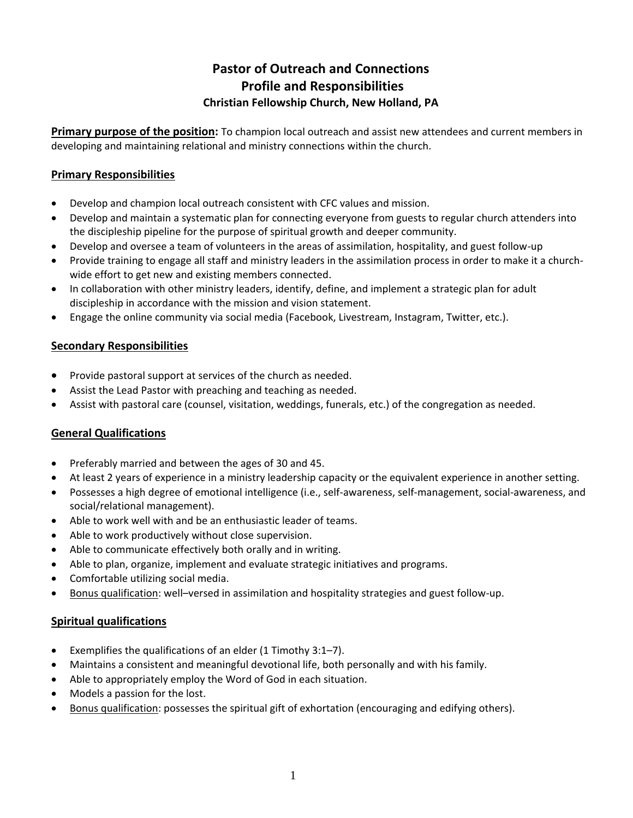# **Pastor of Outreach and Connections Profile and Responsibilities Christian Fellowship Church, New Holland, PA**

**Primary purpose of the position:** To champion local outreach and assist new attendees and current members in developing and maintaining relational and ministry connections within the church.

## **Primary Responsibilities**

- Develop and champion local outreach consistent with CFC values and mission.
- Develop and maintain a systematic plan for connecting everyone from guests to regular church attenders into the discipleship pipeline for the purpose of spiritual growth and deeper community.
- Develop and oversee a team of volunteers in the areas of assimilation, hospitality, and guest follow-up
- Provide training to engage all staff and ministry leaders in the assimilation process in order to make it a churchwide effort to get new and existing members connected.
- In collaboration with other ministry leaders, identify, define, and implement a strategic plan for adult discipleship in accordance with the mission and vision statement.
- Engage the online community via social media (Facebook, Livestream, Instagram, Twitter, etc.).

#### **Secondary Responsibilities**

- Provide pastoral support at services of the church as needed.
- Assist the Lead Pastor with preaching and teaching as needed.
- Assist with pastoral care (counsel, visitation, weddings, funerals, etc.) of the congregation as needed.

#### **General Qualifications**

- Preferably married and between the ages of 30 and 45.
- At least 2 years of experience in a ministry leadership capacity or the equivalent experience in another setting.
- Possesses a high degree of emotional intelligence (i.e., self-awareness, self-management, social-awareness, and social/relational management).
- Able to work well with and be an enthusiastic leader of teams.
- Able to work productively without close supervision.
- Able to communicate effectively both orally and in writing.
- Able to plan, organize, implement and evaluate strategic initiatives and programs.
- Comfortable utilizing social media.
- Bonus qualification: well–versed in assimilation and hospitality strategies and guest follow-up.

#### **Spiritual qualifications**

- Exemplifies the qualifications of an elder (1 Timothy 3:1–7).
- Maintains a consistent and meaningful devotional life, both personally and with his family.
- Able to appropriately employ the Word of God in each situation.
- Models a passion for the lost.
- Bonus qualification: possesses the spiritual gift of exhortation (encouraging and edifying others).